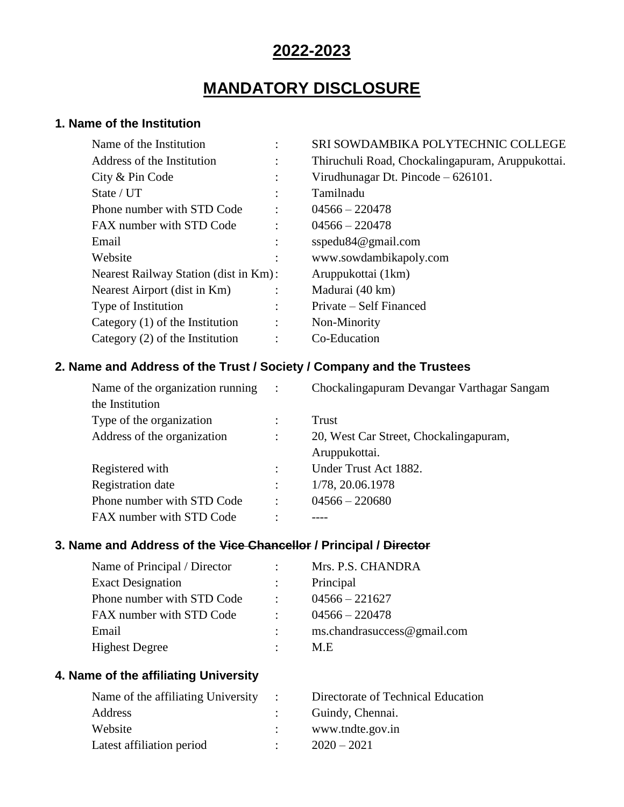# **2022-2023**

# **MANDATORY DISCLOSURE**

# **1. Name of the Institution**

| Name of the Institution               |                      | SRI SOWDAMBIKA POLYTECHNIC COLLEGE               |
|---------------------------------------|----------------------|--------------------------------------------------|
| Address of the Institution            | $\bullet$            | Thiruchuli Road, Chockalingapuram, Aruppukottai. |
| City & Pin Code                       |                      | Virudhunagar Dt. Pincode $-626101$ .             |
| State / UT                            |                      | Tamilnadu                                        |
| Phone number with STD Code            |                      | $04566 - 220478$                                 |
| FAX number with STD Code              | $\ddot{\cdot}$       | $04566 - 220478$                                 |
| Email                                 | $\ddot{\cdot}$       | sspedu $84@$ gmail.com                           |
| Website                               |                      | www.sowdambikapoly.com                           |
| Nearest Railway Station (dist in Km): |                      | Aruppukottai (1 km)                              |
| Nearest Airport (dist in Km)          | $\ddot{\phantom{a}}$ | Madurai (40 km)                                  |
| Type of Institution                   | $\ddot{\cdot}$       | Private – Self Financed                          |
| Category $(1)$ of the Institution     | $\ddot{\cdot}$       | Non-Minority                                     |
| Category $(2)$ of the Institution     |                      | Co-Education                                     |
|                                       |                      |                                                  |

# **2. Name and Address of the Trust / Society / Company and the Trustees**

| Name of the organization running | $\ddot{\cdot}$       | Chockalingapuram Devangar Varthagar Sangam              |
|----------------------------------|----------------------|---------------------------------------------------------|
| the Institution                  |                      |                                                         |
| Type of the organization         |                      | Trust                                                   |
| Address of the organization      | $\ddot{\cdot}$       | 20, West Car Street, Chockalingapuram,<br>Aruppukottai. |
| Registered with                  | $\ddot{\phantom{a}}$ | Under Trust Act 1882.                                   |
| <b>Registration</b> date         | $\ddot{\phantom{a}}$ | 1/78, 20.06.1978                                        |
| Phone number with STD Code       | $\ddot{\cdot}$       | $04566 - 220680$                                        |
| FAX number with STD Code         | ٠                    |                                                         |

# **3. Name and Address of the Vice Chancellor / Principal / Director**

| Name of Principal / Director |                  | Mrs. P.S. CHANDRA           |
|------------------------------|------------------|-----------------------------|
| <b>Exact Designation</b>     |                  | Principal                   |
| Phone number with STD Code   |                  | $04566 - 221627$            |
| FAX number with STD Code     | $\sim$ 100 $\mu$ | $04566 - 220478$            |
| Email                        |                  | ms.chandrasuccess@gmail.com |
| <b>Highest Degree</b>        |                  | M.E                         |

# **4. Name of the affiliating University**

| Name of the affiliating University $\therefore$ | Directorate of Technical Education |
|-------------------------------------------------|------------------------------------|
| Address                                         | Guindy, Chennai.                   |
| Website                                         | www.tndte.gov.in                   |
| Latest affiliation period                       | $2020 - 2021$                      |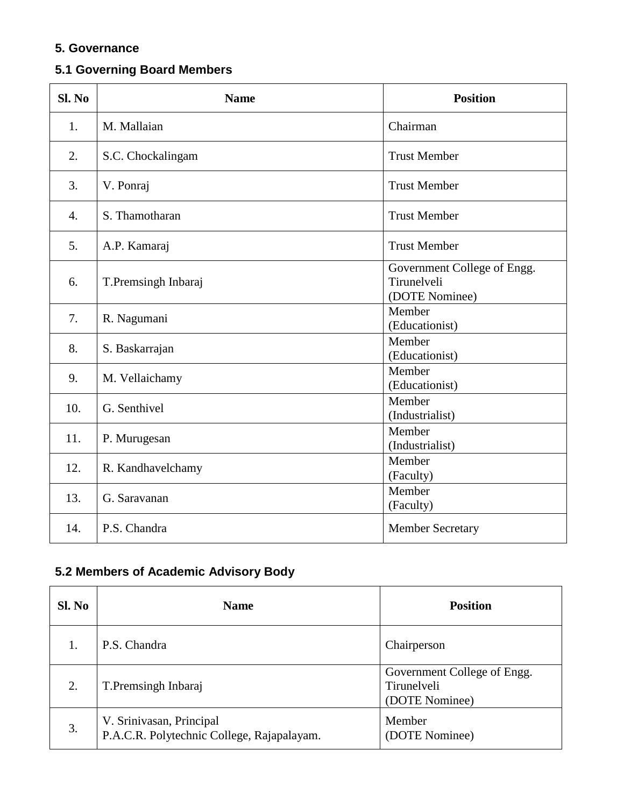# **5. Governance**

# **5.1 Governing Board Members**

| Sl. No           | <b>Name</b>         | <b>Position</b>                                              |
|------------------|---------------------|--------------------------------------------------------------|
| 1.               | M. Mallaian         | Chairman                                                     |
| 2.               | S.C. Chockalingam   | <b>Trust Member</b>                                          |
| 3.               | V. Ponraj           | <b>Trust Member</b>                                          |
| $\overline{4}$ . | S. Thamotharan      | <b>Trust Member</b>                                          |
| 5.               | A.P. Kamaraj        | <b>Trust Member</b>                                          |
| 6.               | T.Premsingh Inbaraj | Government College of Engg.<br>Tirunelveli<br>(DOTE Nominee) |
| 7.               | R. Nagumani         | Member<br>(Educationist)                                     |
| 8.               | S. Baskarrajan      | Member<br>(Educationist)                                     |
| 9.               | M. Vellaichamy      | Member<br>(Educationist)                                     |
| 10.              | G. Senthivel        | Member<br>(Industrialist)                                    |
| 11.              | P. Murugesan        | Member<br>(Industrialist)                                    |
| 12.              | R. Kandhavelchamy   | Member<br>(Faculty)                                          |
| 13.              | G. Saravanan        | Member<br>(Faculty)                                          |
| 14.              | P.S. Chandra        | <b>Member Secretary</b>                                      |

# **5.2 Members of Academic Advisory Body**

| Sl. No | <b>Name</b>                                                            | <b>Position</b>                                              |
|--------|------------------------------------------------------------------------|--------------------------------------------------------------|
|        | P.S. Chandra                                                           | Chairperson                                                  |
| 2.     | T.Premsingh Inbaraj                                                    | Government College of Engg.<br>Tirunelveli<br>(DOTE Nominee) |
| 3.     | V. Srinivasan, Principal<br>P.A.C.R. Polytechnic College, Rajapalayam. | Member<br>(DOTE Nominee)                                     |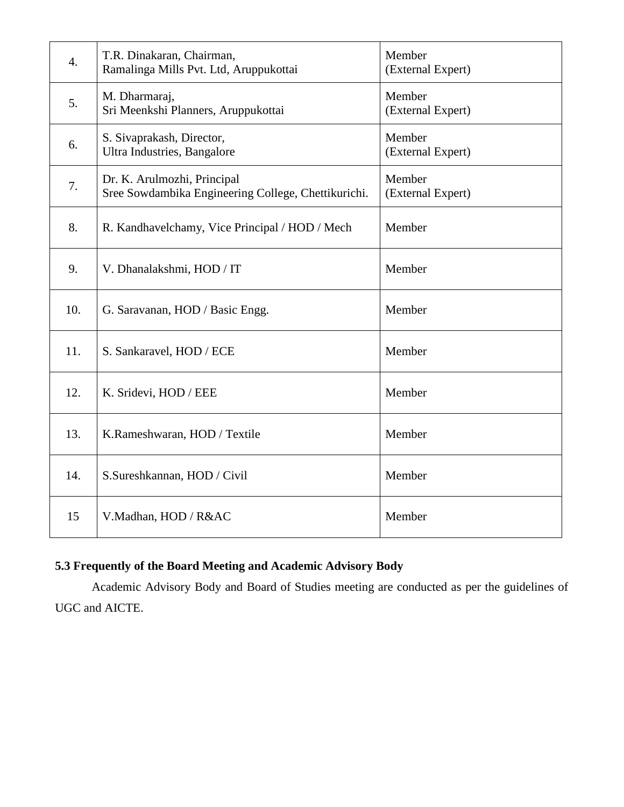| $\overline{4}$ . | T.R. Dinakaran, Chairman,<br>Ramalinga Mills Pvt. Ltd, Aruppukottai                | Member<br>(External Expert) |
|------------------|------------------------------------------------------------------------------------|-----------------------------|
| 5.               | M. Dharmaraj,<br>Sri Meenkshi Planners, Aruppukottai                               | Member<br>(External Expert) |
| 6.               | S. Sivaprakash, Director,<br>Ultra Industries, Bangalore                           | Member<br>(External Expert) |
| 7.               | Dr. K. Arulmozhi, Principal<br>Sree Sowdambika Engineering College, Chettikurichi. | Member<br>(External Expert) |
| 8.               | R. Kandhavelchamy, Vice Principal / HOD / Mech                                     | Member                      |
| 9.               | V. Dhanalakshmi, HOD / IT                                                          | Member                      |
| 10.              | G. Saravanan, HOD / Basic Engg.                                                    | Member                      |
| 11.              | S. Sankaravel, HOD / ECE                                                           | Member                      |
| 12.              | K. Sridevi, HOD / EEE                                                              | Member                      |
| 13.              | K.Rameshwaran, HOD / Textile                                                       | Member                      |
| 14.              | S.Sureshkannan, HOD / Civil                                                        | Member                      |
| 15               | V.Madhan, HOD / R&AC                                                               | Member                      |

# **5.3 Frequently of the Board Meeting and Academic Advisory Body**

Academic Advisory Body and Board of Studies meeting are conducted as per the guidelines of UGC and AICTE.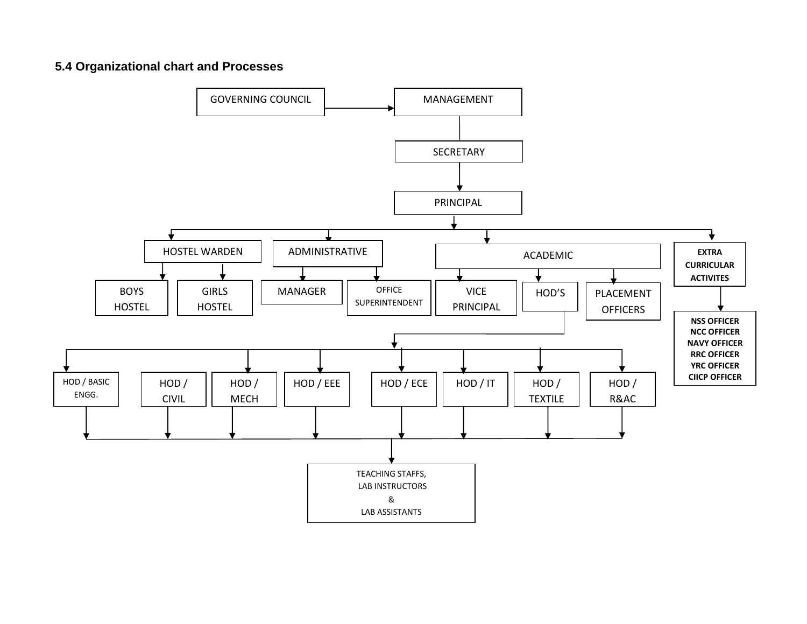# **5.4 Organizational chart and Processes**

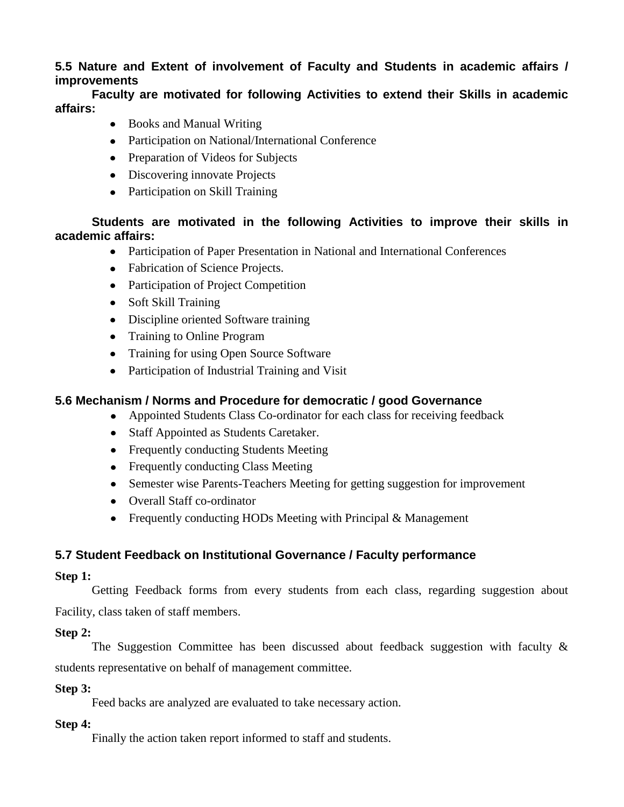# **5.5 Nature and Extent of involvement of Faculty and Students in academic affairs / improvements**

# **Faculty are motivated for following Activities to extend their Skills in academic affairs:**

- Books and Manual Writing
- Participation on National/International Conference
- Preparation of Videos for Subjects
- Discovering innovate Projects
- Participation on Skill Training

# **Students are motivated in the following Activities to improve their skills in academic affairs:**

- Participation of Paper Presentation in National and International Conferences
- Fabrication of Science Projects.
- Participation of Project Competition
- Soft Skill Training
- Discipline oriented Software training
- Training to Online Program
- Training for using Open Source Software
- Participation of Industrial Training and Visit

# **5.6 Mechanism / Norms and Procedure for democratic / good Governance**

- Appointed Students Class Co-ordinator for each class for receiving feedback
- Staff Appointed as Students Caretaker.
- Frequently conducting Students Meeting
- Frequently conducting Class Meeting
- Semester wise Parents-Teachers Meeting for getting suggestion for improvement
- Overall Staff co-ordinator
- Frequently conducting HODs Meeting with Principal  $&$  Management

# **5.7 Student Feedback on Institutional Governance / Faculty performance**

## **Step 1:**

Getting Feedback forms from every students from each class, regarding suggestion about Facility, class taken of staff members.

## **Step 2:**

The Suggestion Committee has been discussed about feedback suggestion with faculty  $\&$ students representative on behalf of management committee.

## **Step 3:**

Feed backs are analyzed are evaluated to take necessary action.

## **Step 4:**

Finally the action taken report informed to staff and students.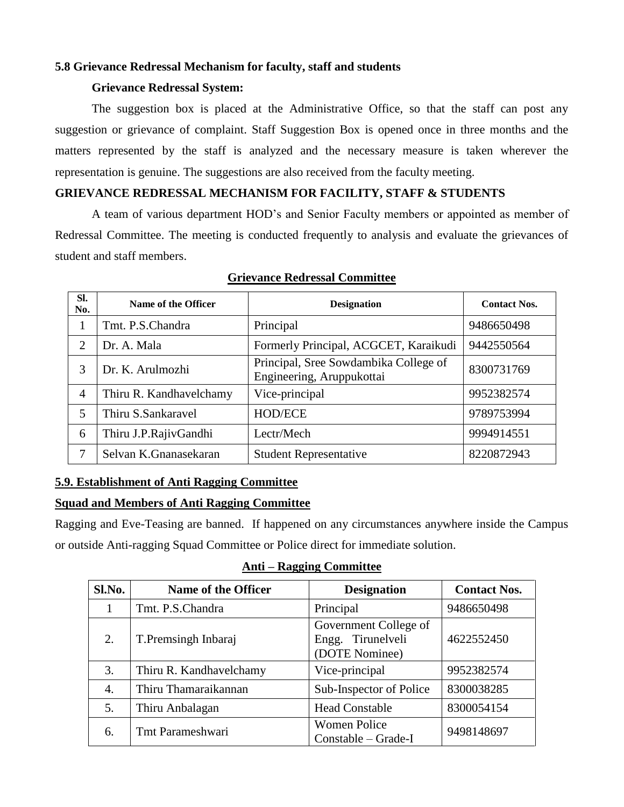#### **5.8 Grievance Redressal Mechanism for faculty, staff and students**

#### **Grievance Redressal System:**

The suggestion box is placed at the Administrative Office, so that the staff can post any suggestion or grievance of complaint. Staff Suggestion Box is opened once in three months and the matters represented by the staff is analyzed and the necessary measure is taken wherever the representation is genuine. The suggestions are also received from the faculty meeting.

# **GRIEVANCE REDRESSAL MECHANISM FOR FACILITY, STAFF & STUDENTS**

A team of various department HOD's and Senior Faculty members or appointed as member of Redressal Committee. The meeting is conducted frequently to analysis and evaluate the grievances of student and staff members.

| SI.<br>No.     | Name of the Officer     | <b>Designation</b>                                                 | <b>Contact Nos.</b> |
|----------------|-------------------------|--------------------------------------------------------------------|---------------------|
|                | Tmt. P.S.Chandra        | Principal                                                          | 9486650498          |
| $\overline{2}$ | Dr. A. Mala             | Formerly Principal, ACGCET, Karaikudi                              | 9442550564          |
| 3              | Dr. K. Arulmozhi        | Principal, Sree Sowdambika College of<br>Engineering, Aruppukottai | 8300731769          |
| $\overline{4}$ | Thiru R. Kandhavelchamy | Vice-principal                                                     | 9952382574          |
| 5              | Thiru S.Sankaravel      | <b>HOD/ECE</b>                                                     | 9789753994          |
| 6              | Thiru J.P.RajivGandhi   | Lectr/Mech                                                         | 9994914551          |
| 7              | Selvan K.Gnanasekaran   | <b>Student Representative</b>                                      | 8220872943          |

#### **Grievance Redressal Committee**

## **5.9. Establishment of Anti Ragging Committee**

#### **Squad and Members of Anti Ragging Committee**

Ragging and Eve-Teasing are banned. If happened on any circumstances anywhere inside the Campus or outside Anti-ragging Squad Committee or Police direct for immediate solution.

#### **Anti – Ragging Committee**

| Sl.No. | <b>Name of the Officer</b> | <b>Designation</b>                                              | <b>Contact Nos.</b> |
|--------|----------------------------|-----------------------------------------------------------------|---------------------|
|        | Tmt. P.S.Chandra           | Principal                                                       | 9486650498          |
| 2.     | T. Premsingh Inbaraj       | Government College of<br>Tirunelveli<br>Engg.<br>(DOTE Nominee) | 4622552450          |
| 3.     | Thiru R. Kandhavelchamy    | Vice-principal                                                  | 9952382574          |
| 4.     | Thiru Thamaraikannan       | Sub-Inspector of Police                                         | 8300038285          |
| 5.     | Thiru Anbalagan            | <b>Head Constable</b>                                           | 8300054154          |
| 6.     | Tmt Parameshwari           | <b>Women Police</b><br>Constable – Grade-I                      | 9498148697          |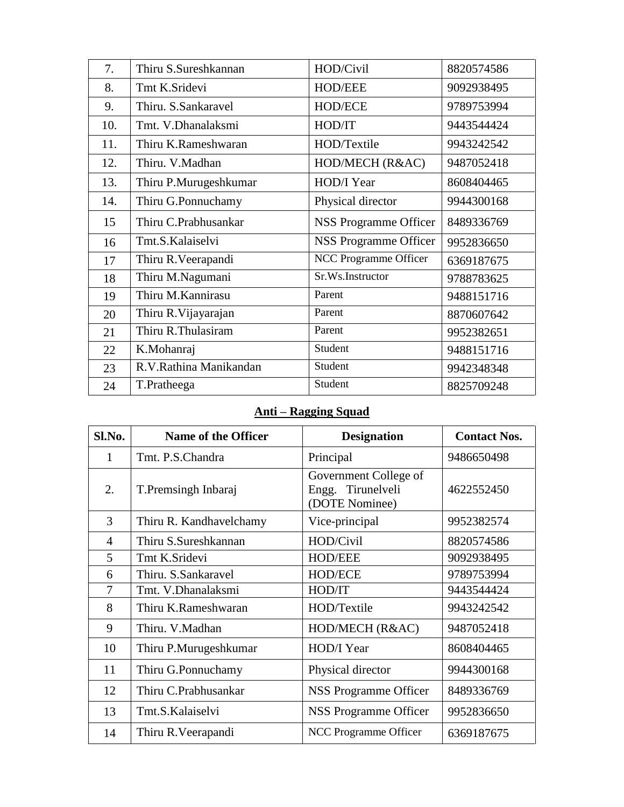| 7.  | Thiru S.Sureshkannan   | HOD/Civil                    | 8820574586 |
|-----|------------------------|------------------------------|------------|
| 8.  | Tmt K.Sridevi          | <b>HOD/EEE</b>               | 9092938495 |
| 9.  | Thiru. S.Sankaravel    | <b>HOD/ECE</b>               | 9789753994 |
| 10. | Tmt. V.Dhanalaksmi     | HOD/IT                       | 9443544424 |
| 11. | Thiru K.Rameshwaran    | HOD/Textile                  | 9943242542 |
| 12. | Thiru. V.Madhan        | HOD/MECH (R&AC)              | 9487052418 |
| 13. | Thiru P.Murugeshkumar  | HOD/I Year                   | 8608404465 |
| 14. | Thiru G.Ponnuchamy     | Physical director            | 9944300168 |
| 15  | Thiru C.Prabhusankar   | <b>NSS Programme Officer</b> | 8489336769 |
| 16  | Tmt.S.Kalaiselvi       | <b>NSS Programme Officer</b> | 9952836650 |
| 17  | Thiru R. Veerapandi    | NCC Programme Officer        | 6369187675 |
| 18  | Thiru M.Nagumani       | Sr.Ws.Instructor             | 9788783625 |
| 19  | Thiru M.Kannirasu      | Parent                       | 9488151716 |
| 20  | Thiru R. Vijayarajan   | Parent                       | 8870607642 |
| 21  | Thiru R.Thulasiram     | Parent                       | 9952382651 |
| 22  | K.Mohanraj             | Student                      | 9488151716 |
| 23  | R.V.Rathina Manikandan | Student                      | 9942348348 |
| 24  | T.Pratheega            | Student                      | 8825709248 |

# **Anti – Ragging Squad**

| Sl.No.         | <b>Name of the Officer</b> | <b>Designation</b>                                           | <b>Contact Nos.</b> |
|----------------|----------------------------|--------------------------------------------------------------|---------------------|
| 1              | Tmt. P.S.Chandra           | Principal                                                    | 9486650498          |
| 2.             | T. Premsingh Inbaraj       | Government College of<br>Engg. Tirunelveli<br>(DOTE Nominee) | 4622552450          |
| 3              | Thiru R. Kandhavelchamy    | Vice-principal                                               | 9952382574          |
| $\overline{4}$ | Thiru S.Sureshkannan       | HOD/Civil                                                    | 8820574586          |
| 5              | Tmt K.Sridevi              | <b>HOD/EEE</b>                                               | 9092938495          |
| 6              | Thiru. S.Sankaravel        | <b>HOD/ECE</b>                                               | 9789753994          |
| 7              | Tmt. V.Dhanalaksmi         | HOD/IT                                                       | 9443544424          |
| 8              | Thiru K.Rameshwaran        | HOD/Textile                                                  | 9943242542          |
| 9              | Thiru. V.Madhan            | HOD/MECH (R&AC)                                              | 9487052418          |
| 10             | Thiru P.Murugeshkumar      | HOD/I Year                                                   | 8608404465          |
| 11             | Thiru G.Ponnuchamy         | Physical director                                            | 9944300168          |
| 12             | Thiru C.Prabhusankar       | NSS Programme Officer                                        | 8489336769          |
| 13             | Tmt.S.Kalaiselvi           | NSS Programme Officer                                        | 9952836650          |
| 14             | Thiru R. Veerapandi        | NCC Programme Officer                                        | 6369187675          |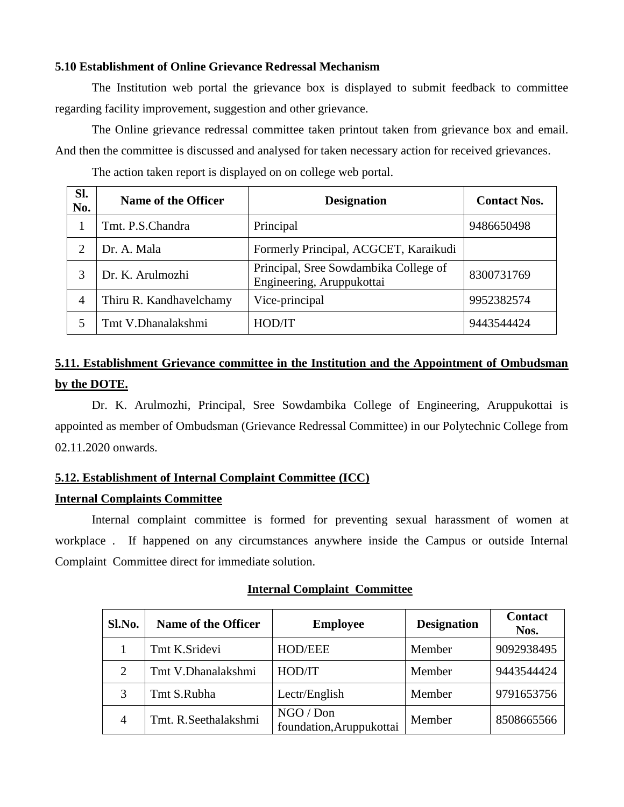#### **5.10 Establishment of Online Grievance Redressal Mechanism**

The Institution web portal the grievance box is displayed to submit feedback to committee regarding facility improvement, suggestion and other grievance.

The Online grievance redressal committee taken printout taken from grievance box and email. And then the committee is discussed and analysed for taken necessary action for received grievances.

| Sl.<br>No.     | Name of the Officer     | <b>Designation</b>                                                 | <b>Contact Nos.</b> |
|----------------|-------------------------|--------------------------------------------------------------------|---------------------|
|                | Tmt. P.S.Chandra        | Principal                                                          | 9486650498          |
| 2              | Dr. A. Mala             | Formerly Principal, ACGCET, Karaikudi                              |                     |
| 3              | Dr. K. Arulmozhi        | Principal, Sree Sowdambika College of<br>Engineering, Aruppukottai | 8300731769          |
| $\overline{4}$ | Thiru R. Kandhavelchamy | Vice-principal                                                     | 9952382574          |
|                | Tmt V.Dhanalakshmi      | HOD/IT                                                             | 9443544424          |

The action taken report is displayed on on college web portal.

# **5.11. Establishment Grievance committee in the Institution and the Appointment of Ombudsman by the DOTE.**

Dr. K. Arulmozhi, Principal, Sree Sowdambika College of Engineering, Aruppukottai is appointed as member of Ombudsman (Grievance Redressal Committee) in our Polytechnic College from 02.11.2020 onwards.

#### **5.12. Establishment of Internal Complaint Committee (ICC)**

#### **Internal Complaints Committee**

Internal complaint committee is formed for preventing sexual harassment of women at workplace . If happened on any circumstances anywhere inside the Campus or outside Internal Complaint Committee direct for immediate solution.

| <b>Internal Complaint Committee</b> |  |  |  |  |
|-------------------------------------|--|--|--|--|
|-------------------------------------|--|--|--|--|

| Sl.No. | <b>Name of the Officer</b> | <b>Employee</b>                       | <b>Designation</b> | <b>Contact</b><br>Nos. |
|--------|----------------------------|---------------------------------------|--------------------|------------------------|
|        | Tmt K.Sridevi              | <b>HOD/EEE</b>                        | Member             | 9092938495             |
| 2      | Tmt V.Dhanalakshmi         | HOD/IT                                | Member             | 9443544424             |
|        | Tmt S.Rubha                | Lectr/English                         | Member             | 9791653756             |
|        | Tmt. R.Seethalakshmi       | NGO / Don<br>foundation, Aruppukottai | Member             | 8508665566             |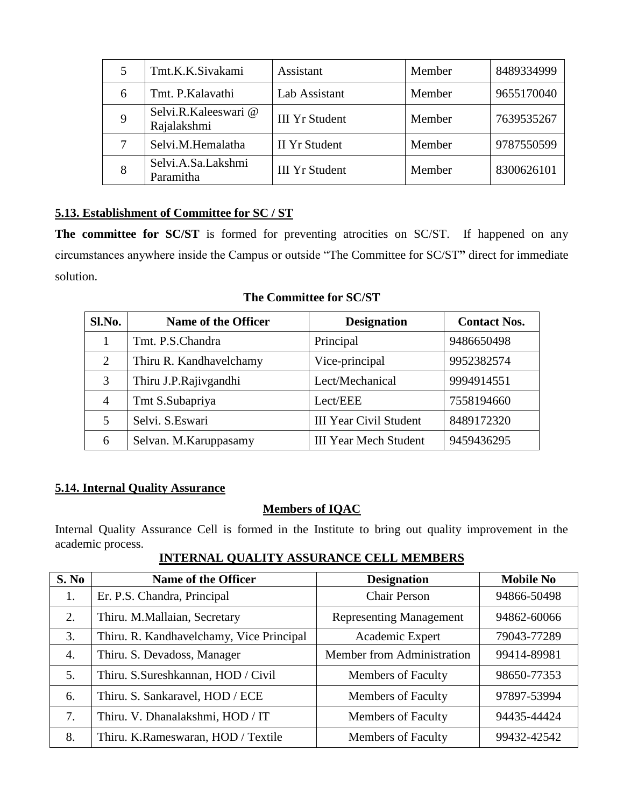|   | Tmt.K.K.Sivakami                   | Assistant             | Member | 8489334999 |
|---|------------------------------------|-----------------------|--------|------------|
| 6 | Tmt. P.Kalavathi                   | Lab Assistant         | Member | 9655170040 |
|   | Selvi.R.Kaleeswari@<br>Rajalakshmi | <b>III Yr Student</b> | Member | 7639535267 |
|   | Selvi.M.Hemalatha                  | <b>II</b> Yr Student  | Member | 9787550599 |
|   | Selvi.A.Sa.Lakshmi<br>Paramitha    | <b>III Yr Student</b> | Member | 8300626101 |

# **5.13. Establishment of Committee for SC / ST**

The committee for SC/ST is formed for preventing atrocities on SC/ST. If happened on any circumstances anywhere inside the Campus or outside "The Committee for SC/ST**"** direct for immediate solution.

## **The Committee for SC/ST**

| Sl.No. | Name of the Officer     | <b>Designation</b>            | <b>Contact Nos.</b> |
|--------|-------------------------|-------------------------------|---------------------|
|        | Tmt. P.S.Chandra        | Principal                     | 9486650498          |
| 2      | Thiru R. Kandhavelchamy | Vice-principal                | 9952382574          |
| 3      | Thiru J.P.Rajivgandhi   | Lect/Mechanical               | 9994914551          |
| 4      | Tmt S.Subapriya         | Lect/EEE                      | 7558194660          |
| 5      | Selvi. S.Eswari         | <b>III Year Civil Student</b> | 8489172320          |
| 6      | Selvan. M. Karuppasamy  | <b>III Year Mech Student</b>  | 9459436295          |

## **5.14. Internal Quality Assurance**

# **Members of IQAC**

Internal Quality Assurance Cell is formed in the Institute to bring out quality improvement in the academic process.

**INTERNAL QUALITY ASSURANCE CELL MEMBERS**

| S. No            | Name of the Officer                      | <b>Designation</b>             | <b>Mobile No</b> |
|------------------|------------------------------------------|--------------------------------|------------------|
| 1.               | Er. P.S. Chandra, Principal              | <b>Chair Person</b>            | 94866-50498      |
| 2.               | Thiru. M.Mallaian, Secretary             | <b>Representing Management</b> | 94862-60066      |
| 3.               | Thiru. R. Kandhavelchamy, Vice Principal | Academic Expert                | 79043-77289      |
| $\overline{4}$ . | Thiru. S. Devadoss, Manager              | Member from Administration     | 99414-89981      |
| 5.               | Thiru. S.Sureshkannan, HOD / Civil       | <b>Members of Faculty</b>      | 98650-77353      |
| 6.               | Thiru. S. Sankaravel, HOD / ECE          | <b>Members of Faculty</b>      | 97897-53994      |
| 7.               | Thiru. V. Dhanalakshmi, HOD / IT         | <b>Members of Faculty</b>      | 94435-44424      |
| 8.               | Thiru. K.Rameswaran, HOD / Textile       | <b>Members of Faculty</b>      | 99432-42542      |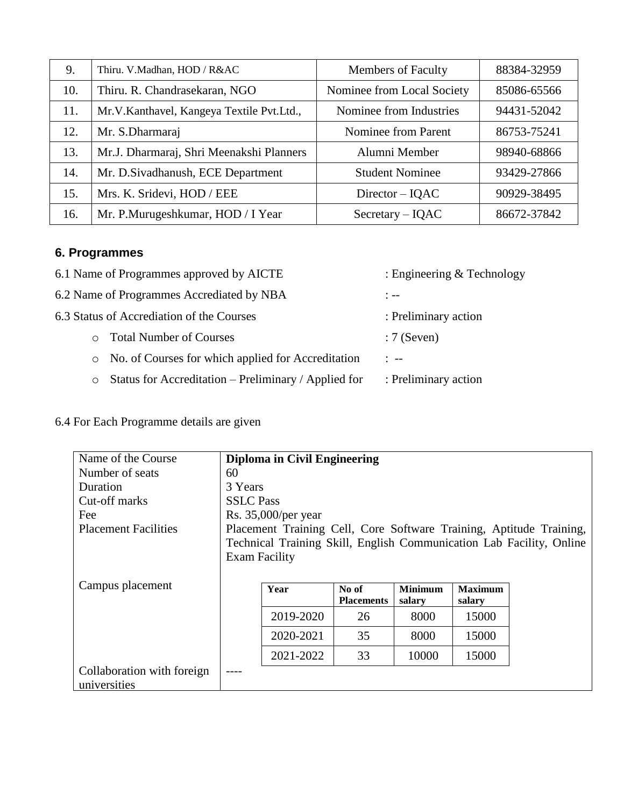| 9.  | Thiru. V.Madhan, HOD / R&AC               | <b>Members of Faculty</b>  | 88384-32959 |
|-----|-------------------------------------------|----------------------------|-------------|
| 10. | Thiru. R. Chandrasekaran, NGO             | Nominee from Local Society | 85086-65566 |
| 11. | Mr.V.Kanthavel, Kangeya Textile Pvt.Ltd., | Nominee from Industries    | 94431-52042 |
| 12. | Mr. S.Dharmaraj                           | Nominee from Parent        | 86753-75241 |
| 13. | Mr.J. Dharmaraj, Shri Meenakshi Planners  | Alumni Member              | 98940-68866 |
| 14. | Mr. D. Sivadhanush, ECE Department        | <b>Student Nominee</b>     | 93429-27866 |
| 15. | Mrs. K. Sridevi, HOD / EEE                | $Directory - IQAC$         | 90929-38495 |
| 16. | Mr. P.Murugeshkumar, HOD / I Year         | $Sercetary - IQAC$         | 86672-37842 |

# **6. Programmes**

| 6.1 Name of Programmes approved by AICTE                        | : Engineering $&$ Technology |
|-----------------------------------------------------------------|------------------------------|
| 6.2 Name of Programmes Accrediated by NBA                       | $: - -$                      |
| 6.3 Status of Accrediation of the Courses                       | : Preliminary action         |
| <b>Total Number of Courses</b><br>$\circ$                       | $:7$ (Seven)                 |
| No. of Courses for which applied for Accreditation<br>$\circ$   | $\frac{1}{2}$ $\frac{1}{2}$  |
| Status for Accreditation – Preliminary / Applied for<br>$\circ$ | : Preliminary action         |

# 6.4 For Each Programme details are given

| Name of the Course          |                                                                     | <b>Diploma in Civil Engineering</b> |                   |                |                |                                                                      |  |  |
|-----------------------------|---------------------------------------------------------------------|-------------------------------------|-------------------|----------------|----------------|----------------------------------------------------------------------|--|--|
| Number of seats             | 60                                                                  |                                     |                   |                |                |                                                                      |  |  |
| Duration                    |                                                                     | 3 Years                             |                   |                |                |                                                                      |  |  |
| Cut-off marks               |                                                                     | <b>SSLC</b> Pass                    |                   |                |                |                                                                      |  |  |
| Fee                         |                                                                     | Rs. $35,000$ /per year              |                   |                |                |                                                                      |  |  |
| <b>Placement Facilities</b> | Placement Training Cell, Core Software Training, Aptitude Training, |                                     |                   |                |                |                                                                      |  |  |
|                             |                                                                     |                                     |                   |                |                | Technical Training Skill, English Communication Lab Facility, Online |  |  |
|                             | <b>Exam Facility</b>                                                |                                     |                   |                |                |                                                                      |  |  |
|                             |                                                                     |                                     |                   |                |                |                                                                      |  |  |
| Campus placement            |                                                                     | Year                                | No of             | <b>Minimum</b> | <b>Maximum</b> |                                                                      |  |  |
|                             |                                                                     |                                     | <b>Placements</b> | salary         | salary         |                                                                      |  |  |
|                             |                                                                     | 2019-2020                           | 26                | 8000           | 15000          |                                                                      |  |  |
|                             |                                                                     | 2020-2021                           | 35                | 8000           | 15000          |                                                                      |  |  |
|                             |                                                                     | 2021-2022                           | 33                | 10000          | 15000          |                                                                      |  |  |
| Collaboration with foreign  | $---$                                                               |                                     |                   |                |                |                                                                      |  |  |
| universities                |                                                                     |                                     |                   |                |                |                                                                      |  |  |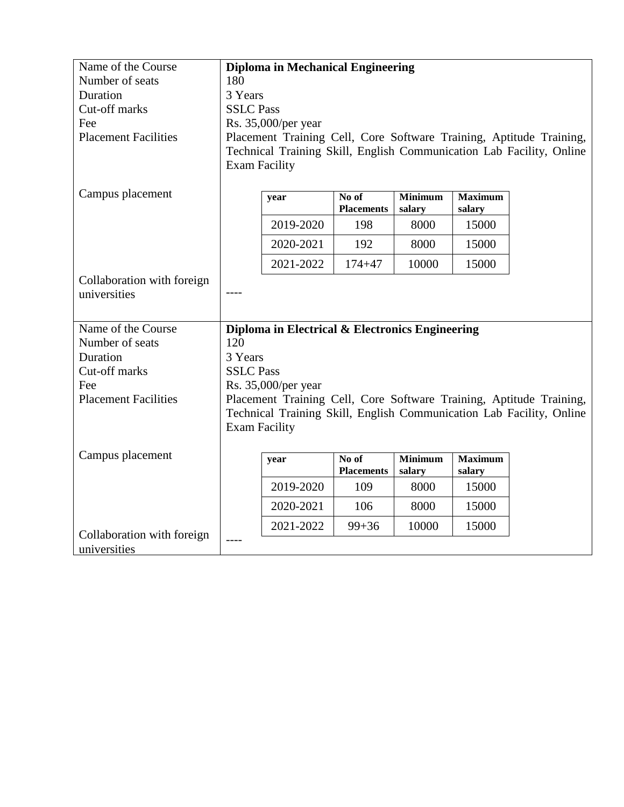| Name of the Course          |                      | <b>Diploma in Mechanical Engineering</b>        |                            |                          |                          |                                                                      |  |
|-----------------------------|----------------------|-------------------------------------------------|----------------------------|--------------------------|--------------------------|----------------------------------------------------------------------|--|
| Number of seats             | 180                  |                                                 |                            |                          |                          |                                                                      |  |
| Duration                    | 3 Years              |                                                 |                            |                          |                          |                                                                      |  |
| Cut-off marks               | <b>SSLC Pass</b>     |                                                 |                            |                          |                          |                                                                      |  |
| Fee                         |                      | Rs. 35,000/per year                             |                            |                          |                          |                                                                      |  |
| <b>Placement Facilities</b> |                      |                                                 |                            |                          |                          | Placement Training Cell, Core Software Training, Aptitude Training,  |  |
|                             |                      |                                                 |                            |                          |                          | Technical Training Skill, English Communication Lab Facility, Online |  |
|                             | <b>Exam Facility</b> |                                                 |                            |                          |                          |                                                                      |  |
|                             |                      |                                                 |                            |                          |                          |                                                                      |  |
| Campus placement            |                      | year                                            | No of<br><b>Placements</b> | <b>Minimum</b><br>salary | <b>Maximum</b><br>salary |                                                                      |  |
|                             |                      | 2019-2020                                       | 198                        | 8000                     | 15000                    |                                                                      |  |
|                             |                      | 2020-2021                                       | 192                        | 8000                     | 15000                    |                                                                      |  |
|                             |                      | 2021-2022                                       | $174 + 47$                 | 10000                    | 15000                    |                                                                      |  |
| Collaboration with foreign  |                      |                                                 |                            |                          |                          |                                                                      |  |
| universities                |                      |                                                 |                            |                          |                          |                                                                      |  |
|                             |                      |                                                 |                            |                          |                          |                                                                      |  |
| Name of the Course          |                      | Diploma in Electrical & Electronics Engineering |                            |                          |                          |                                                                      |  |
| Number of seats             | 120                  |                                                 |                            |                          |                          |                                                                      |  |
| Duration                    | 3 Years              |                                                 |                            |                          |                          |                                                                      |  |
| Cut-off marks               | <b>SSLC Pass</b>     |                                                 |                            |                          |                          |                                                                      |  |
| Fee                         |                      | Rs. 35,000/per year                             |                            |                          |                          |                                                                      |  |
| <b>Placement Facilities</b> |                      |                                                 |                            |                          |                          | Placement Training Cell, Core Software Training, Aptitude Training,  |  |
|                             |                      |                                                 |                            |                          |                          | Technical Training Skill, English Communication Lab Facility, Online |  |
|                             | <b>Exam Facility</b> |                                                 |                            |                          |                          |                                                                      |  |
|                             |                      |                                                 |                            |                          |                          |                                                                      |  |
| Campus placement            |                      | year                                            | No of<br><b>Placements</b> | <b>Minimum</b><br>salary | <b>Maximum</b><br>salary |                                                                      |  |
|                             |                      | 2019-2020                                       | 109                        | 8000                     | 15000                    |                                                                      |  |
|                             |                      | 2020-2021                                       | 106                        | 8000                     | 15000                    |                                                                      |  |
| Collaboration with foreign  |                      | 2021-2022                                       | $99 + 36$                  | 10000                    | 15000                    |                                                                      |  |
| universities                |                      |                                                 |                            |                          |                          |                                                                      |  |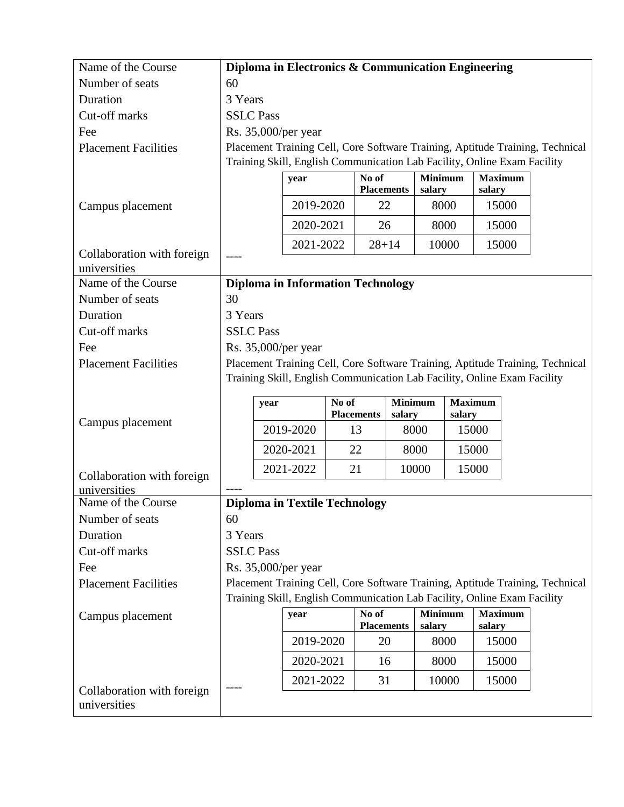| Name of the Course                         |                                                                                                                                                                        | Diploma in Electronics & Communication Engineering                       |  |                            |  |                          |  |                          |  |                                                                               |
|--------------------------------------------|------------------------------------------------------------------------------------------------------------------------------------------------------------------------|--------------------------------------------------------------------------|--|----------------------------|--|--------------------------|--|--------------------------|--|-------------------------------------------------------------------------------|
| Number of seats                            | 60                                                                                                                                                                     |                                                                          |  |                            |  |                          |  |                          |  |                                                                               |
| Duration                                   | 3 Years                                                                                                                                                                |                                                                          |  |                            |  |                          |  |                          |  |                                                                               |
| Cut-off marks                              | <b>SSLC Pass</b>                                                                                                                                                       |                                                                          |  |                            |  |                          |  |                          |  |                                                                               |
| Fee                                        |                                                                                                                                                                        | Rs. 35,000/per year                                                      |  |                            |  |                          |  |                          |  |                                                                               |
| <b>Placement Facilities</b>                |                                                                                                                                                                        |                                                                          |  |                            |  |                          |  |                          |  | Placement Training Cell, Core Software Training, Aptitude Training, Technical |
|                                            |                                                                                                                                                                        | Training Skill, English Communication Lab Facility, Online Exam Facility |  |                            |  |                          |  |                          |  |                                                                               |
|                                            |                                                                                                                                                                        | year                                                                     |  | No of<br><b>Placements</b> |  | <b>Minimum</b><br>salary |  | <b>Maximum</b><br>salary |  |                                                                               |
| Campus placement                           |                                                                                                                                                                        | 2019-2020                                                                |  | 22                         |  | 8000                     |  | 15000                    |  |                                                                               |
|                                            |                                                                                                                                                                        | 2020-2021                                                                |  | 26                         |  | 8000                     |  | 15000                    |  |                                                                               |
|                                            |                                                                                                                                                                        | 2021-2022                                                                |  | $28 + 14$                  |  | 10000                    |  | 15000                    |  |                                                                               |
| Collaboration with foreign<br>universities |                                                                                                                                                                        |                                                                          |  |                            |  |                          |  |                          |  |                                                                               |
| Name of the Course                         |                                                                                                                                                                        | <b>Diploma in Information Technology</b>                                 |  |                            |  |                          |  |                          |  |                                                                               |
| Number of seats                            | 30                                                                                                                                                                     |                                                                          |  |                            |  |                          |  |                          |  |                                                                               |
| Duration                                   | 3 Years                                                                                                                                                                |                                                                          |  |                            |  |                          |  |                          |  |                                                                               |
| Cut-off marks                              | <b>SSLC Pass</b>                                                                                                                                                       |                                                                          |  |                            |  |                          |  |                          |  |                                                                               |
| Fee                                        | Rs. 35,000/per year                                                                                                                                                    |                                                                          |  |                            |  |                          |  |                          |  |                                                                               |
| <b>Placement Facilities</b>                | Placement Training Cell, Core Software Training, Aptitude Training, Technical                                                                                          |                                                                          |  |                            |  |                          |  |                          |  |                                                                               |
|                                            | Training Skill, English Communication Lab Facility, Online Exam Facility<br><b>Minimum</b><br><b>Maximum</b><br>No of<br>year<br><b>Placements</b><br>salary<br>salary |                                                                          |  |                            |  |                          |  |                          |  |                                                                               |
| Campus placement                           |                                                                                                                                                                        | 2019-2020                                                                |  | 13                         |  | 8000                     |  | 15000                    |  |                                                                               |
|                                            |                                                                                                                                                                        | 2020-2021                                                                |  | 22                         |  | 8000                     |  | 15000                    |  |                                                                               |
| Collaboration with foreign                 |                                                                                                                                                                        | 2021-2022                                                                |  | 21                         |  | 10000                    |  | 15000                    |  |                                                                               |
| universities                               |                                                                                                                                                                        |                                                                          |  |                            |  |                          |  |                          |  |                                                                               |
| Name of the Course                         |                                                                                                                                                                        | <b>Diploma in Textile Technology</b>                                     |  |                            |  |                          |  |                          |  |                                                                               |
| Number of seats                            | 60                                                                                                                                                                     |                                                                          |  |                            |  |                          |  |                          |  |                                                                               |
| Duration                                   | 3 Years                                                                                                                                                                |                                                                          |  |                            |  |                          |  |                          |  |                                                                               |
| Cut-off marks                              | <b>SSLC Pass</b>                                                                                                                                                       |                                                                          |  |                            |  |                          |  |                          |  |                                                                               |
| Fee                                        |                                                                                                                                                                        | Rs. 35,000/per year                                                      |  |                            |  |                          |  |                          |  |                                                                               |
| <b>Placement Facilities</b>                |                                                                                                                                                                        |                                                                          |  |                            |  |                          |  |                          |  | Placement Training Cell, Core Software Training, Aptitude Training, Technical |
|                                            |                                                                                                                                                                        | Training Skill, English Communication Lab Facility, Online Exam Facility |  |                            |  |                          |  |                          |  |                                                                               |
| Campus placement                           |                                                                                                                                                                        | year                                                                     |  | No of<br><b>Placements</b> |  | <b>Minimum</b><br>salary |  | <b>Maximum</b><br>salary |  |                                                                               |
|                                            |                                                                                                                                                                        | 2019-2020                                                                |  | 20                         |  | 8000                     |  | 15000                    |  |                                                                               |
|                                            |                                                                                                                                                                        | 2020-2021                                                                |  | 16                         |  | 8000                     |  | 15000                    |  |                                                                               |
|                                            |                                                                                                                                                                        | 2021-2022                                                                |  | 31                         |  | 10000                    |  | 15000                    |  |                                                                               |
| Collaboration with foreign<br>universities |                                                                                                                                                                        |                                                                          |  |                            |  |                          |  |                          |  |                                                                               |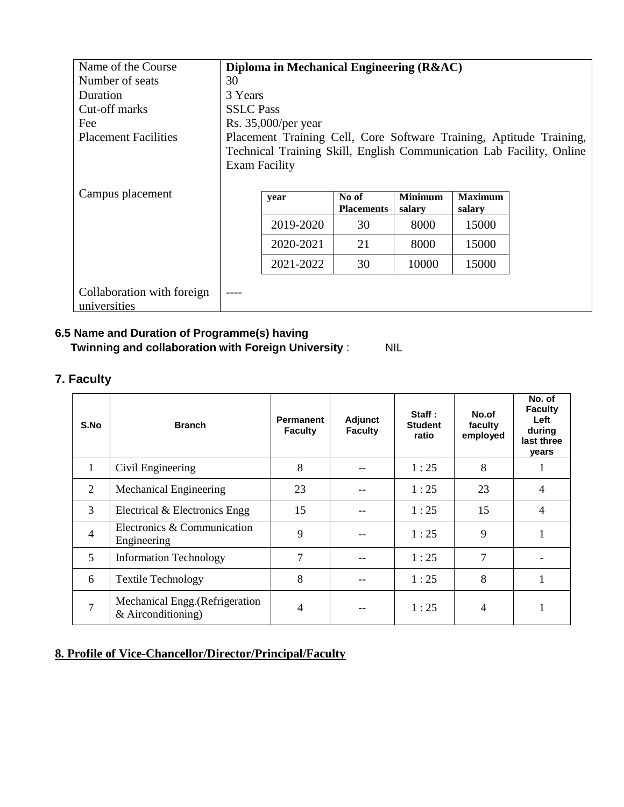| Name of the Course          |                                                                     | Diploma in Mechanical Engineering (R&AC) |                   |                |                |                                                                      |  |
|-----------------------------|---------------------------------------------------------------------|------------------------------------------|-------------------|----------------|----------------|----------------------------------------------------------------------|--|
| Number of seats             | 30                                                                  |                                          |                   |                |                |                                                                      |  |
| Duration                    |                                                                     | 3 Years                                  |                   |                |                |                                                                      |  |
| Cut-off marks               |                                                                     | <b>SSLC</b> Pass                         |                   |                |                |                                                                      |  |
| Fee                         |                                                                     | Rs. 35,000/per year                      |                   |                |                |                                                                      |  |
| <b>Placement Facilities</b> | Placement Training Cell, Core Software Training, Aptitude Training, |                                          |                   |                |                |                                                                      |  |
|                             |                                                                     |                                          |                   |                |                | Technical Training Skill, English Communication Lab Facility, Online |  |
|                             | <b>Exam Facility</b>                                                |                                          |                   |                |                |                                                                      |  |
|                             |                                                                     |                                          |                   |                |                |                                                                      |  |
| Campus placement            |                                                                     | year                                     | No of             | <b>Minimum</b> | <b>Maximum</b> |                                                                      |  |
|                             |                                                                     |                                          | <b>Placements</b> | salary         | salary         |                                                                      |  |
|                             |                                                                     | 2019-2020                                | 30                | 8000           | 15000          |                                                                      |  |
|                             |                                                                     | 2020-2021                                | 21                | 8000           | 15000          |                                                                      |  |
|                             |                                                                     | 2021-2022                                | 30                | 10000          | 15000          |                                                                      |  |
|                             |                                                                     |                                          |                   |                |                |                                                                      |  |
| Collaboration with foreign  |                                                                     |                                          |                   |                |                |                                                                      |  |
| universities                |                                                                     |                                          |                   |                |                |                                                                      |  |

# **6.5 Name and Duration of Programme(s) having**

 **Twinning and collaboration with Foreign University** : NIL

# **7. Faculty**

| S.No           | <b>Branch</b>                                         | Permanent<br><b>Faculty</b> | Adjunct<br><b>Faculty</b> | Staff:<br><b>Student</b><br>ratio | No.of<br>faculty<br>employed | No. of<br><b>Faculty</b><br>Left<br>during<br>last three<br>years |
|----------------|-------------------------------------------------------|-----------------------------|---------------------------|-----------------------------------|------------------------------|-------------------------------------------------------------------|
| 1              | Civil Engineering                                     | 8                           |                           | 1:25                              | 8                            | 1                                                                 |
| 2              | Mechanical Engineering                                | 23                          |                           | 1:25                              | 23                           | $\overline{4}$                                                    |
| 3              | Electrical & Electronics Engg                         | 15                          |                           | 1:25                              | 15                           | $\overline{4}$                                                    |
| $\overline{4}$ | Electronics & Communication<br>Engineering            | 9                           |                           | 1:25                              | 9                            | 1                                                                 |
| 5              | <b>Information Technology</b>                         | 7                           |                           | 1:25                              | 7                            |                                                                   |
| 6              | <b>Textile Technology</b>                             | 8                           |                           | 1:25                              | 8                            | 1                                                                 |
| 7              | Mechanical Engg. (Refrigeration<br>& Airconditioning) | 4                           |                           | 1:25                              | 4                            |                                                                   |

# **8. Profile of Vice-Chancellor/Director/Principal/Faculty**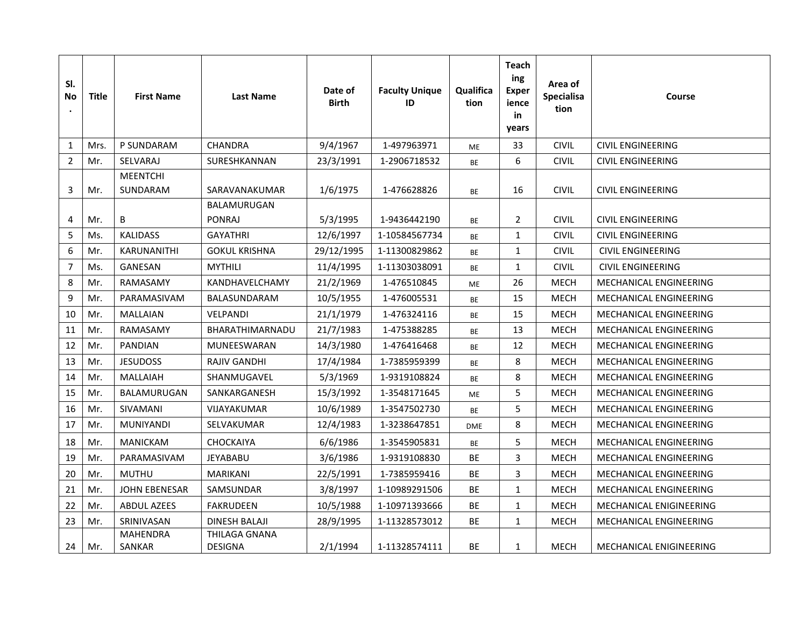| SI.<br>No<br>$\bullet$ | <b>Title</b> | <b>First Name</b>         | <b>Last Name</b>                | Date of<br><b>Birth</b> | <b>Faculty Unique</b><br>ID | Qualifica<br>tion | Teach<br>ing<br><b>Exper</b><br>ience<br>in<br>years | Area of<br>Specialisa<br>tion | Course                        |
|------------------------|--------------|---------------------------|---------------------------------|-------------------------|-----------------------------|-------------------|------------------------------------------------------|-------------------------------|-------------------------------|
| 1                      | Mrs.         | P SUNDARAM                | <b>CHANDRA</b>                  | 9/4/1967                | 1-497963971                 | <b>ME</b>         | 33                                                   | <b>CIVIL</b>                  | <b>CIVIL ENGINEERING</b>      |
| $\overline{2}$         | Mr.          | SELVARAJ                  | SURESHKANNAN                    | 23/3/1991               | 1-2906718532                | BE                | 6                                                    | <b>CIVIL</b>                  | <b>CIVIL ENGINEERING</b>      |
|                        |              | <b>MEENTCHI</b>           |                                 |                         |                             |                   |                                                      |                               |                               |
| 3                      | Mr.          | SUNDARAM                  | SARAVANAKUMAR                   | 1/6/1975                | 1-476628826                 | BE                | 16                                                   | <b>CIVIL</b>                  | <b>CIVIL ENGINEERING</b>      |
|                        |              |                           | BALAMURUGAN                     |                         |                             |                   |                                                      |                               |                               |
| 4                      | Mr.          | B                         | <b>PONRAJ</b>                   | 5/3/1995                | 1-9436442190                | <b>BE</b>         | $\overline{2}$                                       | <b>CIVIL</b>                  | <b>CIVIL ENGINEERING</b>      |
| 5                      | Ms.          | <b>KALIDASS</b>           | <b>GAYATHRI</b>                 | 12/6/1997               | 1-10584567734               | BE                | $\mathbf{1}$                                         | <b>CIVIL</b>                  | <b>CIVIL ENGINEERING</b>      |
| 6                      | Mr.          | KARUNANITHI               | <b>GOKUL KRISHNA</b>            | 29/12/1995              | 1-11300829862               | BE                | $\mathbf{1}$                                         | <b>CIVIL</b>                  | <b>CIVIL ENGINEERING</b>      |
| $\overline{7}$         | Ms.          | GANESAN                   | <b>MYTHILI</b>                  | 11/4/1995               | 1-11303038091               | BE                | $\mathbf{1}$                                         | <b>CIVIL</b>                  | <b>CIVIL ENGINEERING</b>      |
| 8                      | Mr.          | RAMASAMY                  | KANDHAVELCHAMY                  | 21/2/1969               | 1-476510845                 | ME                | 26                                                   | <b>MECH</b>                   | MECHANICAL ENGINEERING        |
| 9                      | Mr.          | PARAMASIVAM               | BALASUNDARAM                    | 10/5/1955               | 1-476005531                 | <b>BE</b>         | 15                                                   | <b>MECH</b>                   | <b>MECHANICAL ENGINEERING</b> |
| 10                     | Mr.          | MALLAIAN                  | VELPANDI                        | 21/1/1979               | 1-476324116                 | BE                | 15                                                   | <b>MECH</b>                   | MECHANICAL ENGINEERING        |
| 11                     | Mr.          | RAMASAMY                  | BHARATHIMARNADU                 | 21/7/1983               | 1-475388285                 | BE                | 13                                                   | <b>MECH</b>                   | <b>MECHANICAL ENGINEERING</b> |
| 12                     | Mr.          | <b>PANDIAN</b>            | MUNEESWARAN                     | 14/3/1980               | 1-476416468                 | BE                | 12                                                   | <b>MECH</b>                   | <b>MECHANICAL ENGINEERING</b> |
| 13                     | Mr.          | <b>JESUDOSS</b>           | <b>RAJIV GANDHI</b>             | 17/4/1984               | 1-7385959399                | BE                | 8                                                    | <b>MECH</b>                   | MECHANICAL ENGINEERING        |
| 14                     | Mr.          | <b>MALLAIAH</b>           | SHANMUGAVEL                     | 5/3/1969                | 1-9319108824                | <b>BE</b>         | 8                                                    | <b>MECH</b>                   | <b>MECHANICAL ENGINEERING</b> |
| 15                     | Mr.          | BALAMURUGAN               | SANKARGANESH                    | 15/3/1992               | 1-3548171645                | ME                | 5                                                    | <b>MECH</b>                   | MECHANICAL ENGINEERING        |
| 16                     | Mr.          | SIVAMANI                  | <b>VIJAYAKUMAR</b>              | 10/6/1989               | 1-3547502730                | <b>BE</b>         | 5                                                    | <b>MECH</b>                   | MECHANICAL ENGINEERING        |
| 17                     | Mr.          | MUNIYANDI                 | SELVAKUMAR                      | 12/4/1983               | 1-3238647851                | <b>DME</b>        | 8                                                    | MECH                          | MECHANICAL ENGINEERING        |
| 18                     | Mr.          | <b>MANICKAM</b>           | <b>CHOCKAIYA</b>                | 6/6/1986                | 1-3545905831                | <b>BE</b>         | 5                                                    | <b>MECH</b>                   | <b>MECHANICAL ENGINEERING</b> |
| 19                     | Mr.          | PARAMASIVAM               | <b>JEYABABU</b>                 | 3/6/1986                | 1-9319108830                | BE                | 3                                                    | <b>MECH</b>                   | MECHANICAL ENGINEERING        |
| 20                     | Mr.          | <b>MUTHU</b>              | MARIKANI                        | 22/5/1991               | 1-7385959416                | BE                | $\overline{3}$                                       | <b>MECH</b>                   | <b>MECHANICAL ENGINEERING</b> |
| 21                     | Mr.          | <b>JOHN EBENESAR</b>      | SAMSUNDAR                       | 3/8/1997                | 1-10989291506               | BE                | $\mathbf{1}$                                         | MECH                          | MECHANICAL ENGINEERING        |
| 22                     | Mr.          | <b>ABDUL AZEES</b>        | <b>FAKRUDEEN</b>                | 10/5/1988               | 1-10971393666               | BE                | $\mathbf{1}$                                         | <b>MECH</b>                   | MECHANICAL ENIGINEERING       |
| 23                     | Mr.          | SRINIVASAN                | <b>DINESH BALAJI</b>            | 28/9/1995               | 1-11328573012               | <b>BE</b>         | $\mathbf{1}$                                         | <b>MECH</b>                   | MECHANICAL ENGINEERING        |
| 24                     | Mr.          | <b>MAHENDRA</b><br>SANKAR | THILAGA GNANA<br><b>DESIGNA</b> | 2/1/1994                | 1-11328574111               | BE                | $\mathbf{1}$                                         | <b>MECH</b>                   | MECHANICAL ENIGINEERING       |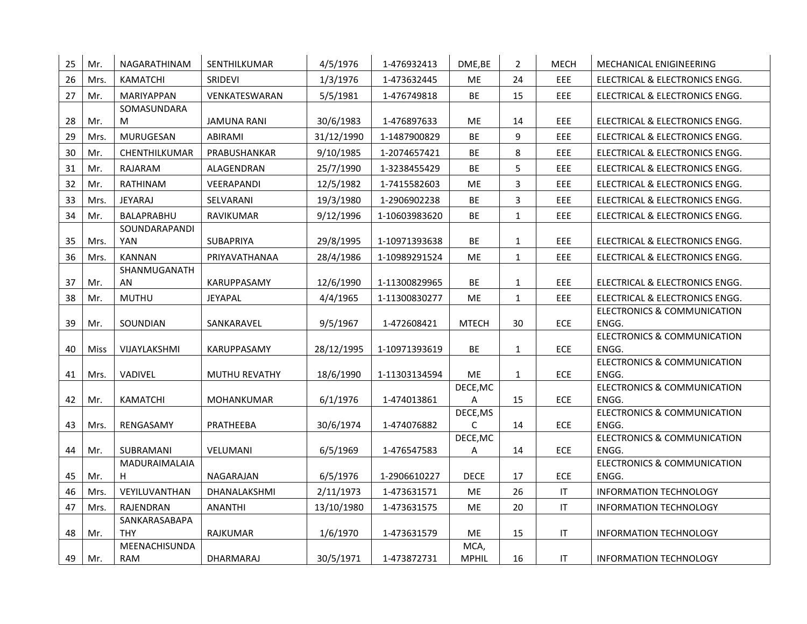| 25 | Mr.  | NAGARATHINAM     | SENTHILKUMAR       | 4/5/1976   | 1-476932413   | DME, BE       | $\overline{2}$ | <b>MECH</b>                | MECHANICAL ENIGINEERING                         |
|----|------|------------------|--------------------|------------|---------------|---------------|----------------|----------------------------|-------------------------------------------------|
| 26 | Mrs. | <b>KAMATCHI</b>  | <b>SRIDEVI</b>     | 1/3/1976   | 1-473632445   | ME            | 24             | EEE                        | ELECTRICAL & ELECTRONICS ENGG.                  |
| 27 | Mr.  | MARIYAPPAN       | VENKATESWARAN      | 5/5/1981   | 1-476749818   | <b>BE</b>     | 15             | EEE                        | ELECTRICAL & ELECTRONICS ENGG.                  |
|    |      | SOMASUNDARA      |                    |            |               |               |                |                            |                                                 |
| 28 | Mr.  | M                | <b>JAMUNA RANI</b> | 30/6/1983  | 1-476897633   | ME            | 14             | EEE                        | ELECTRICAL & ELECTRONICS ENGG.                  |
| 29 | Mrs. | <b>MURUGESAN</b> | ABIRAMI            | 31/12/1990 | 1-1487900829  | <b>BE</b>     | 9              | EEE                        | ELECTRICAL & ELECTRONICS ENGG.                  |
| 30 | Mr.  | CHENTHILKUMAR    | PRABUSHANKAR       | 9/10/1985  | 1-2074657421  | BE            | 8              | EEE                        | ELECTRICAL & ELECTRONICS ENGG.                  |
| 31 | Mr.  | RAJARAM          | ALAGENDRAN         | 25/7/1990  | 1-3238455429  | BE            | 5              | EEE                        | ELECTRICAL & ELECTRONICS ENGG.                  |
| 32 | Mr.  | RATHINAM         | VEERAPANDI         | 12/5/1982  | 1-7415582603  | ME            | 3              | EEE                        | ELECTRICAL & ELECTRONICS ENGG.                  |
| 33 | Mrs. | <b>JEYARAJ</b>   | SELVARANI          | 19/3/1980  | 1-2906902238  | BE            | $\overline{3}$ | EEE                        | ELECTRICAL & ELECTRONICS ENGG.                  |
| 34 | Mr.  | BALAPRABHU       | RAVIKUMAR          | 9/12/1996  | 1-10603983620 | BE            | $\mathbf{1}$   | EEE                        | ELECTRICAL & ELECTRONICS ENGG.                  |
|    |      | SOUNDARAPANDI    |                    |            |               |               |                |                            |                                                 |
| 35 | Mrs. | <b>YAN</b>       | SUBAPRIYA          | 29/8/1995  | 1-10971393638 | BE            | $\mathbf{1}$   | EEE                        | ELECTRICAL & ELECTRONICS ENGG.                  |
| 36 | Mrs. | <b>KANNAN</b>    | PRIYAVATHANAA      | 28/4/1986  | 1-10989291524 | ME            | $\mathbf{1}$   | EEE                        | ELECTRICAL & ELECTRONICS ENGG.                  |
|    |      | SHANMUGANATH     |                    |            |               |               |                |                            |                                                 |
| 37 | Mr.  | AN               | KARUPPASAMY        | 12/6/1990  | 1-11300829965 | BE            | $\mathbf{1}$   | EEE                        | ELECTRICAL & ELECTRONICS ENGG.                  |
| 38 | Mr.  | <b>MUTHU</b>     | JEYAPAL            | 4/4/1965   | 1-11300830277 | ME            | $\mathbf{1}$   | EEE                        | ELECTRICAL & ELECTRONICS ENGG.                  |
|    |      |                  |                    |            |               |               |                |                            | <b>ELECTRONICS &amp; COMMUNICATION</b><br>ENGG. |
| 39 | Mr.  | SOUNDIAN         | SANKARAVEL         | 9/5/1967   | 1-472608421   | <b>MTECH</b>  | 30             | <b>ECE</b>                 | <b>ELECTRONICS &amp; COMMUNICATION</b>          |
| 40 | Miss | VIJAYLAKSHMI     | KARUPPASAMY        | 28/12/1995 | 1-10971393619 | BE            | $\mathbf{1}$   | <b>ECE</b>                 | ENGG.                                           |
|    |      |                  |                    |            |               |               |                |                            | <b>ELECTRONICS &amp; COMMUNICATION</b>          |
| 41 | Mrs. | VADIVEL          | MUTHU REVATHY      | 18/6/1990  | 1-11303134594 | ME            | $\mathbf{1}$   | ECE                        | ENGG.                                           |
|    |      |                  |                    |            |               | DECE, MC      |                |                            | <b>ELECTRONICS &amp; COMMUNICATION</b>          |
| 42 | Mr.  | KAMATCHI         | <b>MOHANKUMAR</b>  | 6/1/1976   | 1-474013861   | А             | 15             | <b>ECE</b>                 | ENGG.                                           |
|    |      |                  |                    |            |               | DECE, MS      |                |                            | <b>ELECTRONICS &amp; COMMUNICATION</b>          |
| 43 | Mrs. | RENGASAMY        | PRATHEEBA          | 30/6/1974  | 1-474076882   | C             | 14             | ECE                        | ENGG.<br><b>ELECTRONICS &amp; COMMUNICATION</b> |
| 44 | Mr.  | SUBRAMANI        | VELUMANI           | 6/5/1969   | 1-476547583   | DECE, MC<br>А | 14             | <b>ECE</b>                 | ENGG.                                           |
|    |      | MADURAIMALAIA    |                    |            |               |               |                |                            | <b>ELECTRONICS &amp; COMMUNICATION</b>          |
| 45 | Mr.  | H.               | NAGARAJAN          | 6/5/1976   | 1-2906610227  | <b>DECE</b>   | 17             | ECE                        | ENGG.                                           |
| 46 | Mrs. | VEYILUVANTHAN    | DHANALAKSHMI       | 2/11/1973  | 1-473631571   | ME            | 26             | $\mathsf{I}\mathsf{T}$     | INFORMATION TECHNOLOGY                          |
| 47 | Mrs. | RAJENDRAN        | <b>ANANTHI</b>     | 13/10/1980 | 1-473631575   | ME            | 20             | $\ensuremath{\mathsf{IT}}$ | <b>INFORMATION TECHNOLOGY</b>                   |
|    |      | SANKARASABAPA    |                    |            |               |               |                |                            |                                                 |
| 48 | Mr.  | THY              | RAJKUMAR           | 1/6/1970   | 1-473631579   | ME            | 15             | IT                         | <b>INFORMATION TECHNOLOGY</b>                   |
|    |      | MEENACHISUNDA    |                    |            |               | MCA,          |                |                            |                                                 |
| 49 | Mr.  | RAM              | DHARMARAJ          | 30/5/1971  | 1-473872731   | <b>MPHIL</b>  | 16             | IT.                        | INFORMATION TECHNOLOGY                          |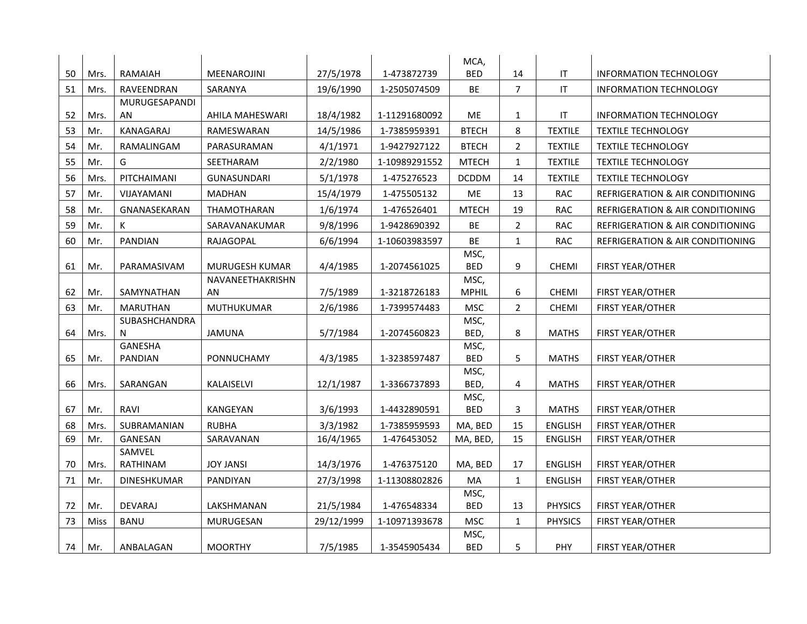|    |      |                  |                        |            |               | MCA,                 |                |                                   |                                             |
|----|------|------------------|------------------------|------------|---------------|----------------------|----------------|-----------------------------------|---------------------------------------------|
| 50 | Mrs. | RAMAIAH          | MEENAROJINI            | 27/5/1978  | 1-473872739   | <b>BED</b>           | 14             | $\ensuremath{\mathsf{IT}}$        | <b>INFORMATION TECHNOLOGY</b>               |
| 51 | Mrs. | RAVEENDRAN       | SARANYA                | 19/6/1990  | 1-2505074509  | BE                   | $\overline{7}$ | IT                                | <b>INFORMATION TECHNOLOGY</b>               |
|    |      | MURUGESAPANDI    |                        |            |               |                      |                |                                   |                                             |
| 52 | Mrs. | AN.              | AHILA MAHESWARI        | 18/4/1982  | 1-11291680092 | ME                   | $\mathbf{1}$   | $\ensuremath{\mathsf{IT}}\xspace$ | <b>INFORMATION TECHNOLOGY</b>               |
| 53 | Mr.  | <b>KANAGARAJ</b> | RAMESWARAN             | 14/5/1986  | 1-7385959391  | <b>BTECH</b>         | 8              | <b>TEXTILE</b>                    | <b>TEXTILE TECHNOLOGY</b>                   |
| 54 | Mr.  | RAMALINGAM       | PARASURAMAN            | 4/1/1971   | 1-9427927122  | <b>BTECH</b>         | $\overline{2}$ | <b>TEXTILE</b>                    | <b>TEXTILE TECHNOLOGY</b>                   |
| 55 | Mr.  | G                | SEETHARAM              | 2/2/1980   | 1-10989291552 | <b>MTECH</b>         | $\mathbf{1}$   | <b>TEXTILE</b>                    | <b>TEXTILE TECHNOLOGY</b>                   |
| 56 | Mrs. | PITCHAIMANI      | <b>GUNASUNDARI</b>     | 5/1/1978   | 1-475276523   | <b>DCDDM</b>         | 14             | <b>TEXTILE</b>                    | <b>TEXTILE TECHNOLOGY</b>                   |
| 57 | Mr.  | VIJAYAMANI       | <b>MADHAN</b>          | 15/4/1979  | 1-475505132   | ME                   | 13             | <b>RAC</b>                        | <b>REFRIGERATION &amp; AIR CONDITIONING</b> |
| 58 | Mr.  | GNANASEKARAN     | THAMOTHARAN            | 1/6/1974   | 1-476526401   | <b>MTECH</b>         | 19             | <b>RAC</b>                        | REFRIGERATION & AIR CONDITIONING            |
| 59 | Mr.  | K                | SARAVANAKUMAR          | 9/8/1996   | 1-9428690392  | BE                   | $\overline{2}$ | <b>RAC</b>                        | <b>REFRIGERATION &amp; AIR CONDITIONING</b> |
| 60 | Mr.  | <b>PANDIAN</b>   | RAJAGOPAL              | 6/6/1994   | 1-10603983597 | BE                   | $\mathbf{1}$   | <b>RAC</b>                        | REFRIGERATION & AIR CONDITIONING            |
|    |      |                  |                        |            |               | MSC,                 |                |                                   |                                             |
| 61 | Mr.  | PARAMASIVAM      | MURUGESH KUMAR         | 4/4/1985   | 1-2074561025  | <b>BED</b>           | 9              | <b>CHEMI</b>                      | FIRST YEAR/OTHER                            |
| 62 | Mr.  | SAMYNATHAN       | NAVANEETHAKRISHN<br>AN | 7/5/1989   | 1-3218726183  | MSC,<br><b>MPHIL</b> | 6              | <b>CHEMI</b>                      | <b>FIRST YEAR/OTHER</b>                     |
| 63 |      | <b>MARUTHAN</b>  | <b>MUTHUKUMAR</b>      |            |               | <b>MSC</b>           | $\overline{2}$ |                                   |                                             |
|    | Mr.  | SUBASHCHANDRA    |                        | 2/6/1986   | 1-7399574483  | MSC,                 |                | <b>CHEMI</b>                      | FIRST YEAR/OTHER                            |
| 64 | Mrs. | N                | <b>JAMUNA</b>          | 5/7/1984   | 1-2074560823  | BED,                 | 8              | <b>MATHS</b>                      | FIRST YEAR/OTHER                            |
|    |      | <b>GANESHA</b>   |                        |            |               | MSC,                 |                |                                   |                                             |
| 65 | Mr.  | PANDIAN          | PONNUCHAMY             | 4/3/1985   | 1-3238597487  | <b>BED</b>           | 5              | <b>MATHS</b>                      | <b>FIRST YEAR/OTHER</b>                     |
|    |      |                  |                        |            |               | MSC,                 |                |                                   |                                             |
| 66 | Mrs. | SARANGAN         | KALAISELVI             | 12/1/1987  | 1-3366737893  | BED,                 | 4              | <b>MATHS</b>                      | FIRST YEAR/OTHER                            |
| 67 | Mr.  | RAVI             | KANGEYAN               | 3/6/1993   | 1-4432890591  | MSC,<br><b>BED</b>   | 3              | <b>MATHS</b>                      | <b>FIRST YEAR/OTHER</b>                     |
| 68 | Mrs. | SUBRAMANIAN      | <b>RUBHA</b>           | 3/3/1982   | 1-7385959593  | MA, BED              | 15             | <b>ENGLISH</b>                    | FIRST YEAR/OTHER                            |
| 69 | Mr.  | GANESAN          | SARAVANAN              | 16/4/1965  | 1-476453052   | MA, BED,             | 15             | <b>ENGLISH</b>                    | FIRST YEAR/OTHER                            |
|    |      | SAMVEL           |                        |            |               |                      |                |                                   |                                             |
| 70 | Mrs. | RATHINAM         | <b>JOY JANSI</b>       | 14/3/1976  | 1-476375120   | MA, BED              | 17             | <b>ENGLISH</b>                    | <b>FIRST YEAR/OTHER</b>                     |
| 71 | Mr.  | DINESHKUMAR      | PANDIYAN               | 27/3/1998  | 1-11308802826 | MA                   | $\mathbf{1}$   | <b>ENGLISH</b>                    | FIRST YEAR/OTHER                            |
|    |      |                  |                        |            |               | MSC,                 |                |                                   |                                             |
| 72 | Mr.  | <b>DEVARAJ</b>   | LAKSHMANAN             | 21/5/1984  | 1-476548334   | <b>BED</b>           | 13             | <b>PHYSICS</b>                    | FIRST YEAR/OTHER                            |
| 73 | Miss | <b>BANU</b>      | MURUGESAN              | 29/12/1999 | 1-10971393678 | <b>MSC</b>           | $\mathbf{1}$   | <b>PHYSICS</b>                    | <b>FIRST YEAR/OTHER</b>                     |
|    |      |                  |                        |            |               | MSC,                 |                |                                   |                                             |
| 74 | Mr.  | ANBALAGAN        | <b>MOORTHY</b>         | 7/5/1985   | 1-3545905434  | <b>BED</b>           | 5              | PHY                               | FIRST YEAR/OTHER                            |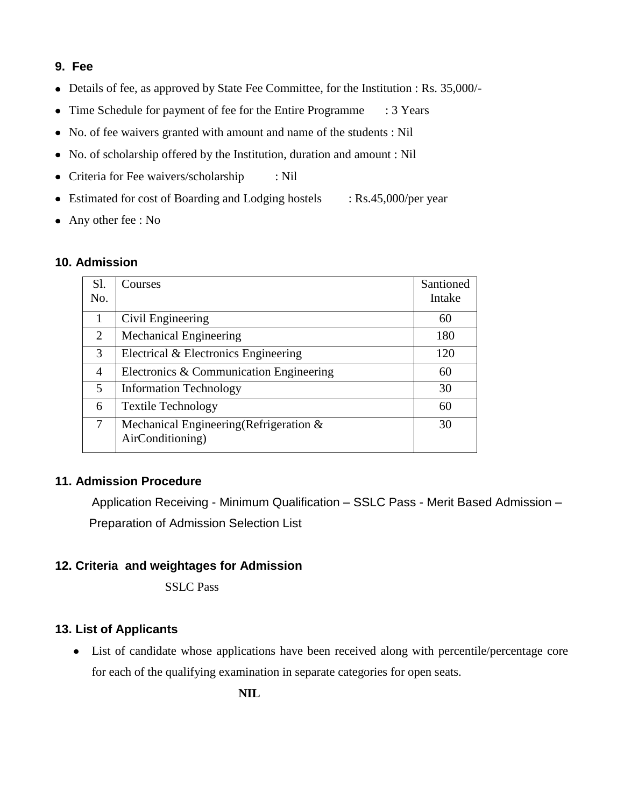# **9. Fee**

- Details of fee, as approved by State Fee Committee, for the Institution : Rs. 35,000/-
- Time Schedule for payment of fee for the Entire Programme : 3 Years
- No. of fee waivers granted with amount and name of the students : Nil
- No. of scholarship offered by the Institution, duration and amount : Nil
- Criteria for Fee waivers/scholarship : Nil
- Estimated for cost of Boarding and Lodging hostels : Rs.45,000/per year
- Any other fee : No

#### **10. Admission**

| Sl. | Courses                                                        | Santioned |
|-----|----------------------------------------------------------------|-----------|
| No. |                                                                | Intake    |
| 1   | Civil Engineering                                              | 60        |
| 2   | <b>Mechanical Engineering</b>                                  | 180       |
| 3   | Electrical & Electronics Engineering                           | 120       |
| 4   | Electronics & Communication Engineering                        | 60        |
| 5   | <b>Information Technology</b>                                  | 30        |
| 6   | <b>Textile Technology</b>                                      | 60        |
| 7   | Mechanical Engineering (Refrigeration $\&$<br>AirConditioning) | 30        |

## **11. Admission Procedure**

Application Receiving - Minimum Qualification – SSLC Pass - Merit Based Admission – Preparation of Admission Selection List

## **12. Criteria and weightages for Admission**

SSLC Pass

## **13. List of Applicants**

• List of candidate whose applications have been received along with percentile/percentage core for each of the qualifying examination in separate categories for open seats.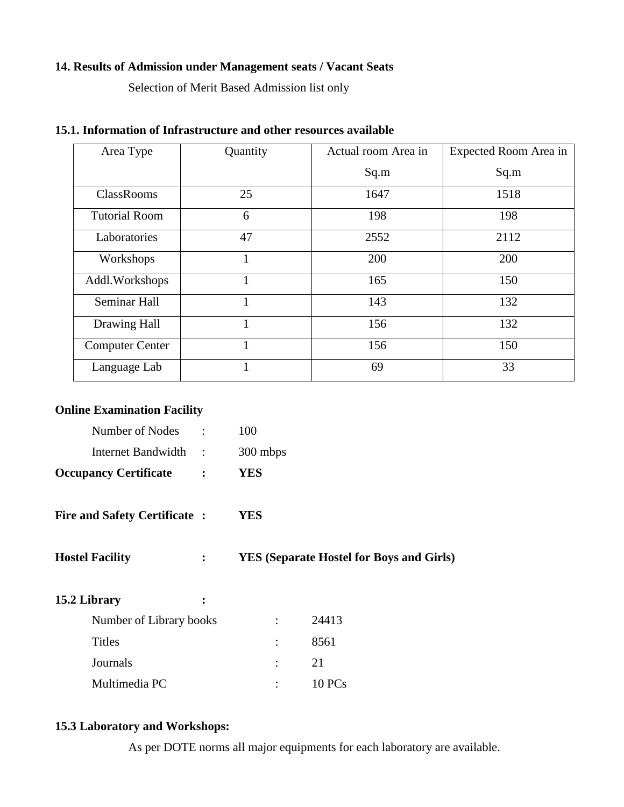#### **14. Results of Admission under Management seats / Vacant Seats**

Selection of Merit Based Admission list only

| Area Type              | Quantity | Actual room Area in | Expected Room Area in |
|------------------------|----------|---------------------|-----------------------|
|                        |          | Sq.m                | Sq.m                  |
| <b>ClassRooms</b>      | 25       | 1647                | 1518                  |
| <b>Tutorial Room</b>   | 6        | 198                 | 198                   |
| Laboratories           | 47       | 2552                | 2112                  |
| Workshops              | 1        | 200                 | 200                   |
| Addl. Workshops        | 1        | 165                 | 150                   |
| Seminar Hall           | 1        | 143                 | 132                   |
| Drawing Hall           |          | 156                 | 132                   |
| <b>Computer Center</b> | 1        | 156                 | 150                   |
| Language Lab           | 1        | 69                  | 33                    |

## **15.1. Information of Infrastructure and other resources available**

#### **Online Examination Facility**

| <b>Occupancy Certificate</b> | <b>YES</b> |
|------------------------------|------------|
| Internet Bandwidth           | 300 mbps   |
| Number of Nodes              | 100        |

- **Fire and Safety Certificate : YES**
- **Hostel Facility : YES (Separate Hostel for Boys and Girls)**

| 15.2 Library            | ፡ |           |        |
|-------------------------|---|-----------|--------|
| Number of Library books |   |           | 24413  |
| <b>Titles</b>           |   |           | 8561   |
| Journals                |   | $\bullet$ | 21     |
| Multimedia PC           |   |           | 10 PCs |

# **15.3 Laboratory and Workshops:**

As per DOTE norms all major equipments for each laboratory are available.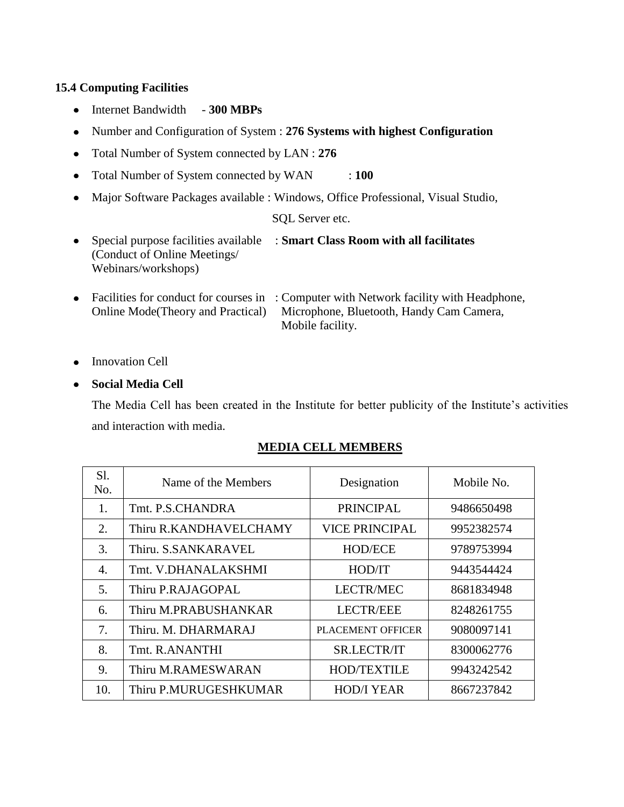## **15.4 Computing Facilities**

- Internet Bandwidth 300 MBPs
- Number and Configuration of System : **276 Systems with highest Configuration**
- Total Number of System connected by LAN : **276**
- Total Number of System connected by WAN : **100**
- Major Software Packages available : Windows, Office Professional, Visual Studio,

#### SQL Server etc.

- Special purpose facilities available : **Smart Class Room with all facilitates** (Conduct of Online Meetings/ Webinars/workshops)
- Facilities for conduct for courses in : Computer with Network facility with Headphone, Online Mode(Theory and Practical) Microphone, Bluetooth, Handy Cam Camera, Mobile facility.
- Innovation Cell

#### **Social Media Cell**

The Media Cell has been created in the Institute for better publicity of the Institute's activities and interaction with media.

#### **MEDIA CELL MEMBERS**

| Sl.<br>No. | Name of the Members    | Designation              | Mobile No. |
|------------|------------------------|--------------------------|------------|
| 1.         | Tmt. P.S.CHANDRA       | <b>PRINCIPAL</b>         | 9486650498 |
| 2.         | Thiru R.KANDHAVELCHAMY | <b>VICE PRINCIPAL</b>    | 9952382574 |
| 3.         | Thiru. S.SANKARAVEL    | <b>HOD/ECE</b>           | 9789753994 |
| 4.         | Tmt. V.DHANALAKSHMI    | HOD/IT                   | 9443544424 |
| 5.         | Thiru P.RAJAGOPAL      | <b>LECTR/MEC</b>         | 8681834948 |
| 6.         | Thiru M.PRABUSHANKAR   | <b>LECTR/EEE</b>         | 8248261755 |
| 7.         | Thiru. M. DHARMARAJ    | <b>PLACEMENT OFFICER</b> | 9080097141 |
| 8.         | Tmt. R.ANANTHI         | SR.LECTR/IT              | 8300062776 |
| 9.         | Thiru M.RAMESWARAN     | <b>HOD/TEXTILE</b>       | 9943242542 |
| 10.        | Thiru P.MURUGESHKUMAR  | <b>HOD/I YEAR</b>        | 8667237842 |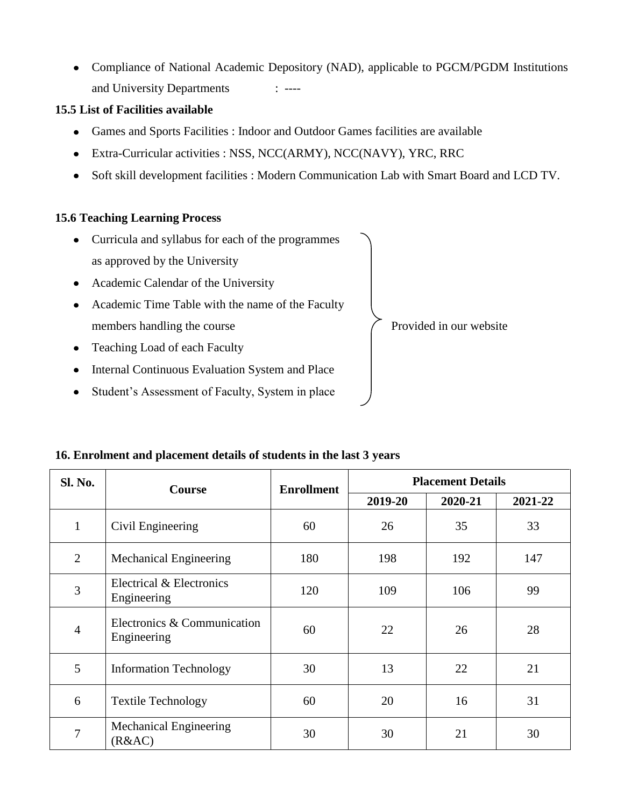Compliance of National Academic Depository (NAD), applicable to PGCM/PGDM Institutions and University Departments : ----

# **15.5 List of Facilities available**

- Games and Sports Facilities : Indoor and Outdoor Games facilities are available
- Extra-Curricular activities : NSS, NCC(ARMY), NCC(NAVY), YRC, RRC
- Soft skill development facilities : Modern Communication Lab with Smart Board and LCD TV.

## **15.6 Teaching Learning Process**

Curricula and syllabus for each of the programmes as approved by the University • Academic Calendar of the University • Academic Time Table with the name of the Faculty members handling the course  $\overline{\phantom{a}}$  Provided in our website • Teaching Load of each Faculty • Internal Continuous Evaluation System and Place • Student's Assessment of Faculty, System in place

| <b>Sl. No.</b> | <b>Course</b>                              | <b>Enrollment</b> | <b>Placement Details</b> |         |         |  |
|----------------|--------------------------------------------|-------------------|--------------------------|---------|---------|--|
|                |                                            |                   | 2019-20                  | 2020-21 | 2021-22 |  |
| $\mathbf{1}$   | Civil Engineering                          | 60                | 26                       | 35      | 33      |  |
| 2              | Mechanical Engineering                     | 180               | 198                      | 192     | 147     |  |
| 3              | Electrical & Electronics<br>Engineering    | 120               | 109                      | 106     | 99      |  |
| $\overline{4}$ | Electronics & Communication<br>Engineering | 60                | 22                       | 26      | 28      |  |
| 5              | <b>Information Technology</b>              | 30                | 13                       | 22      | 21      |  |
| 6              | <b>Textile Technology</b>                  | 60                | 20                       | 16      | 31      |  |
| 7              | Mechanical Engineering<br>(R&AC)           | 30                | 30                       | 21      | 30      |  |

## **16. Enrolment and placement details of students in the last 3 years**